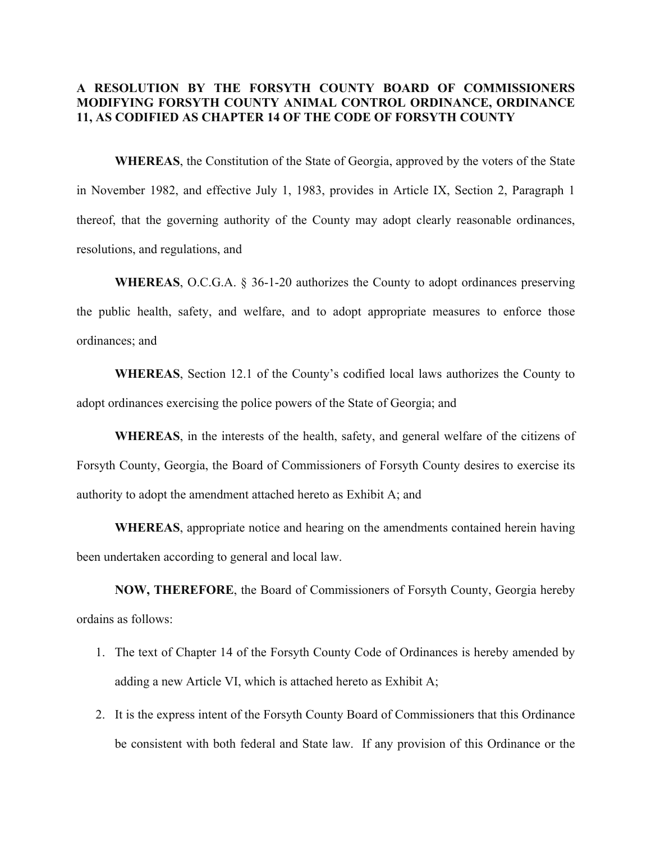# **A RESOLUTION BY THE FORSYTH COUNTY BOARD OF COMMISSIONERS MODIFYING FORSYTH COUNTY ANIMAL CONTROL ORDINANCE, ORDINANCE 11, AS CODIFIED AS CHAPTER 14 OF THE CODE OF FORSYTH COUNTY**

**WHEREAS**, the Constitution of the State of Georgia, approved by the voters of the State in November 1982, and effective July 1, 1983, provides in Article IX, Section 2, Paragraph 1 thereof, that the governing authority of the County may adopt clearly reasonable ordinances, resolutions, and regulations, and

**WHEREAS**, O.C.G.A. § 36-1-20 authorizes the County to adopt ordinances preserving the public health, safety, and welfare, and to adopt appropriate measures to enforce those ordinances; and

**WHEREAS**, Section 12.1 of the County's codified local laws authorizes the County to adopt ordinances exercising the police powers of the State of Georgia; and

**WHEREAS**, in the interests of the health, safety, and general welfare of the citizens of Forsyth County, Georgia, the Board of Commissioners of Forsyth County desires to exercise its authority to adopt the amendment attached hereto as Exhibit A; and

**WHEREAS**, appropriate notice and hearing on the amendments contained herein having been undertaken according to general and local law.

**NOW, THEREFORE**, the Board of Commissioners of Forsyth County, Georgia hereby ordains as follows:

- 1. The text of Chapter 14 of the Forsyth County Code of Ordinances is hereby amended by adding a new Article VI, which is attached hereto as Exhibit A;
- 2. It is the express intent of the Forsyth County Board of Commissioners that this Ordinance be consistent with both federal and State law. If any provision of this Ordinance or the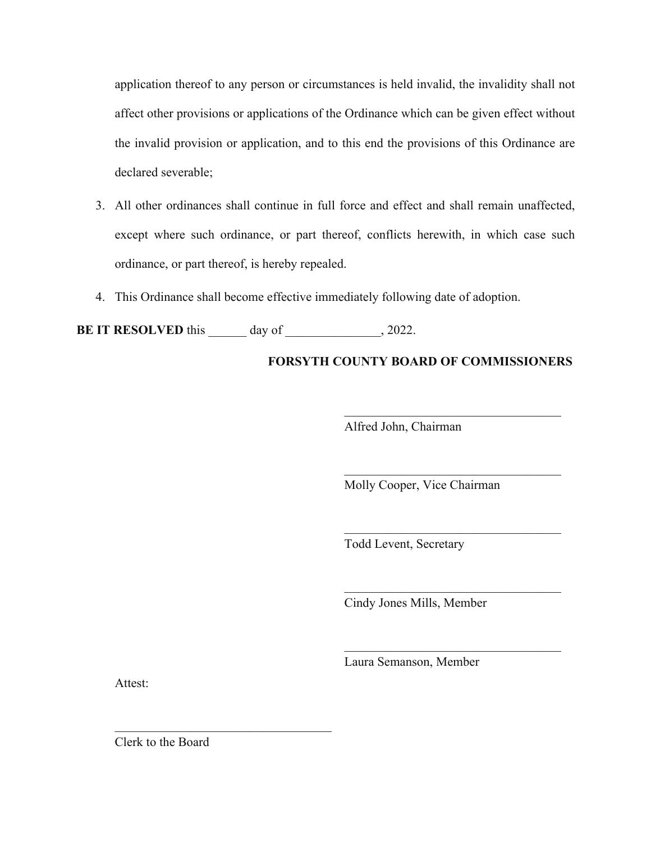application thereof to any person or circumstances is held invalid, the invalidity shall not affect other provisions or applications of the Ordinance which can be given effect without the invalid provision or application, and to this end the provisions of this Ordinance are declared severable;

- 3. All other ordinances shall continue in full force and effect and shall remain unaffected, except where such ordinance, or part thereof, conflicts herewith, in which case such ordinance, or part thereof, is hereby repealed.
- 4. This Ordinance shall become effective immediately following date of adoption.

**BE IT RESOLVED** this day of  $\qquad \qquad$ , 2022.

# **FORSYTH COUNTY BOARD OF COMMISSIONERS**

Alfred John, Chairman

Molly Cooper, Vice Chairman

Todd Levent, Secretary

Cindy Jones Mills, Member

 $\mathcal{L}_\text{max}$  and  $\mathcal{L}_\text{max}$  and  $\mathcal{L}_\text{max}$  and  $\mathcal{L}_\text{max}$ 

Laura Semanson, Member

Attest:

Clerk to the Board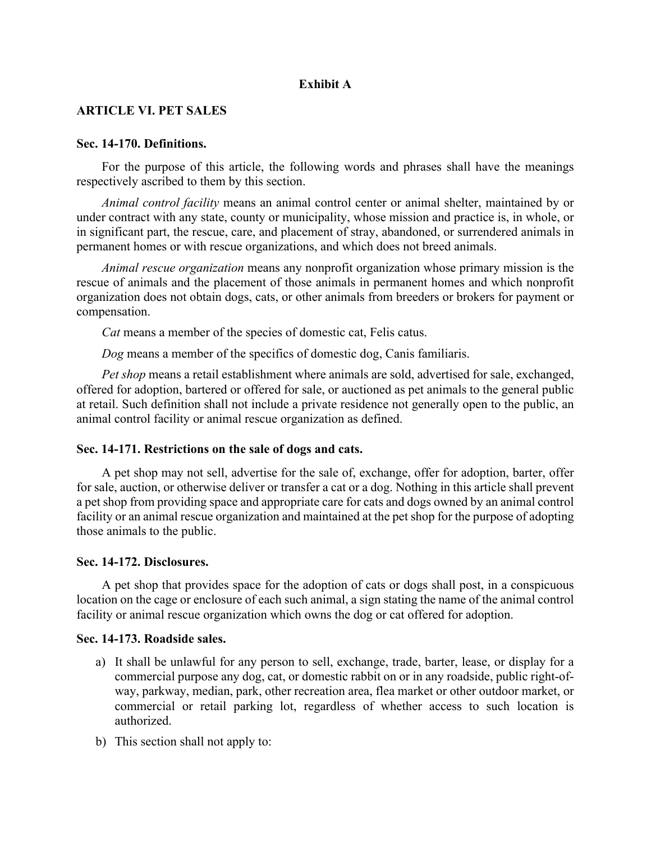# **Exhibit A**

## **ARTICLE VI. PET SALES**

#### **Sec. 14-170. Definitions.**

For the purpose of this article, the following words and phrases shall have the meanings respectively ascribed to them by this section.

*Animal control facility* means an animal control center or animal shelter, maintained by or under contract with any state, county or municipality, whose mission and practice is, in whole, or in significant part, the rescue, care, and placement of stray, abandoned, or surrendered animals in permanent homes or with rescue organizations, and which does not breed animals.

*Animal rescue organization* means any nonprofit organization whose primary mission is the rescue of animals and the placement of those animals in permanent homes and which nonprofit organization does not obtain dogs, cats, or other animals from breeders or brokers for payment or compensation.

*Cat* means a member of the species of domestic cat, Felis catus.

*Dog* means a member of the specifics of domestic dog, Canis familiaris.

*Pet shop* means a retail establishment where animals are sold, advertised for sale, exchanged, offered for adoption, bartered or offered for sale, or auctioned as pet animals to the general public at retail. Such definition shall not include a private residence not generally open to the public, an animal control facility or animal rescue organization as defined.

## **Sec. 14-171. Restrictions on the sale of dogs and cats.**

A pet shop may not sell, advertise for the sale of, exchange, offer for adoption, barter, offer for sale, auction, or otherwise deliver or transfer a cat or a dog. Nothing in this article shall prevent a pet shop from providing space and appropriate care for cats and dogs owned by an animal control facility or an animal rescue organization and maintained at the pet shop for the purpose of adopting those animals to the public.

#### **Sec. 14-172. Disclosures.**

A pet shop that provides space for the adoption of cats or dogs shall post, in a conspicuous location on the cage or enclosure of each such animal, a sign stating the name of the animal control facility or animal rescue organization which owns the dog or cat offered for adoption.

### **Sec. 14-173. Roadside sales.**

- a) It shall be unlawful for any person to sell, exchange, trade, barter, lease, or display for a commercial purpose any dog, cat, or domestic rabbit on or in any roadside, public right-ofway, parkway, median, park, other recreation area, flea market or other outdoor market, or commercial or retail parking lot, regardless of whether access to such location is authorized.
- b) This section shall not apply to: